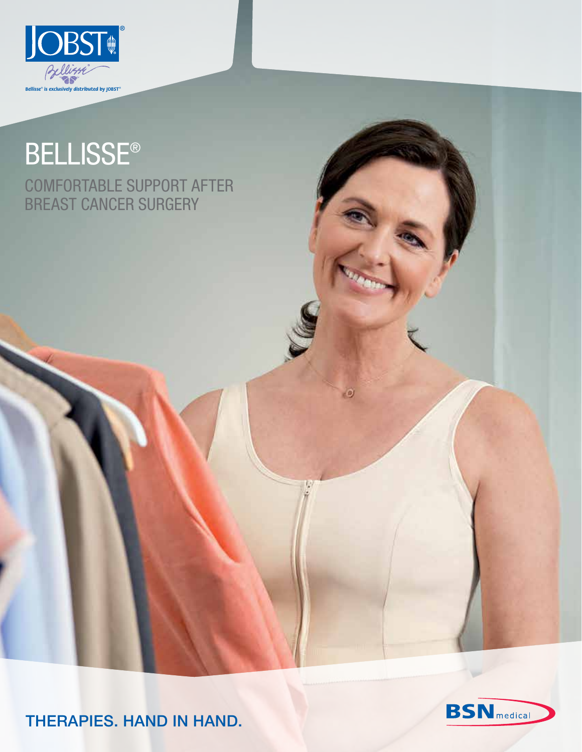

# BELLISSE®

COMFORTABLE SUPPORT After Breast Cancer Surgery

S

-0

Therapies. Hand in hand.

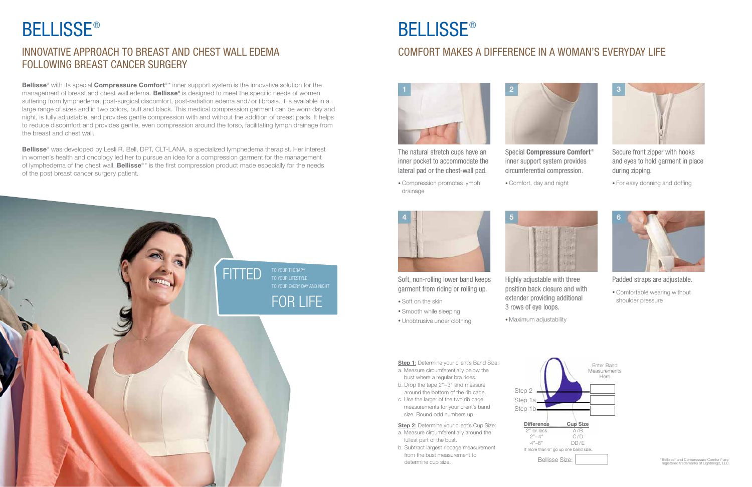## BELLISSE® BELLISSE®

### Innovative approach to breast and chest wall edema following breast cancer surgery

### Comfort makes a difference in a woman's everyday life



Bellisse<sup>®</sup> with its special **Compressure Comfort**<sup>®\*</sup> inner support system is the innovative solution for the management of breast and chest wall edema. **Bellisse®** is designed to meet the specific needs of women suffering from lymphedema, post-surgical discomfort, post-radiation edema and/or fibrosis. It is available in a large range of sizes and in two colors, buff and black. This medical compression garment can be worn day and night, is fully adjustable, and provides gentle compression with and without the addition of breast pads. It helps to reduce discomfort and provides gentle, even compression around the torso, facilitating lymph drainage from the breast and chest wall.

Bellisse<sup>®</sup> was developed by Lesli R. Bell, DPT, CLT-LANA, a specialized lymphedema therapist. Her interest in women's health and oncology led her to pursue an idea for a compression garment for the management of lymphedema of the chest wall. Bellisse®\* is the first compression product made especially for the needs of the post breast cancer surgery patient.

Special Compressure Comfort<sup>®</sup> inner support system provides circumferential compression.

# **FITTED** FOR LIFE TO YOUR LIFESTYLE TO YOUR THERAPY TO YOUR EVERY DAY AND NIGHT

**Step 1**: Determine your client's Band Size: a. Measure circumferentially below the bust where a regular bra rides.

- b. Drop the tape 2"-3" and measure around the bottom of the rib cage.
- c. Use the larger of the two rib cage measurements for your client's band size. Round odd numbers up.

The natural stretch cups have an inner pocket to accommodate the lateral pad or the chest-wall pad.

**Step 2:** Determine your client's Cup Size: a. Measure circumferentially around the fullest part of the bust.

• Compression promotes lymph drainage

Soft, non-rolling lower band keeps garment from riding or rolling up.

- Soft on the skin
- Smooth while sleeping
- Unobtrusive under clothing



• Comfort, day and night



 Highly adjustable with three position back closure and with extender providing additional 3 rows of eye loops.

• Maximum adjustability

5

Secure front zipper with hooks and eyes to hold garment in place during zipping.

• For easy donning and doffing





Padded straps are adjustable.

• Comfortable wearing without shoulder pressure





b. Subtract largest ribcage measurement from the bust measurement to determine cup size.